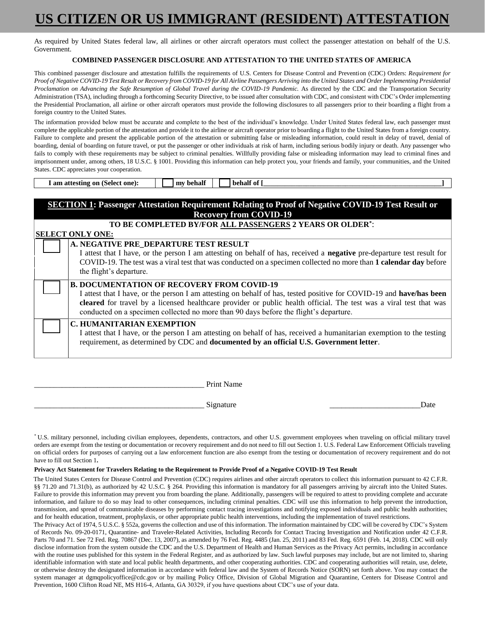## **US CITIZEN OR US IMMIGRANT (RESIDENT) ATTESTATION**

As required by United States federal law, all airlines or other aircraft operators must collect the passenger attestation on behalf of the U.S. Government.

### **COMBINED PASSENGER DISCLOSURE AND ATTESTATION TO THE UNITED STATES OF AMERICA**

This combined passenger disclosure and attestation fulfills the requirements of U.S. Centers for Disease Control and Prevention (CDC) Orders: *Requirement for Proof of Negative COVID-19 Test Result or Recovery from COVID-19 for All Airline Passengers Arriving into the United States and Order Implementing Presidential*  Proclamation on Advancing the Safe Resumption of Global Travel during the COVID-19 Pandemic. As directed by the CDC and the Transportation Security Administration (TSA), including through a forthcoming Security Directive, to be issued after consultation with CDC, and consistent with CDC's Order implementing the Presidential Proclamation, all airline or other aircraft operators must provide the following disclosures to all passengers prior to their boarding a flight from a foreign country to the United States.

The information provided below must be accurate and complete to the best of the individual's knowledge. Under United States federal law, each passenger must complete the applicable portion of the attestation and provide it to the airline or aircraft operator prior to boarding a flight to the United States from a foreign country. Failure to complete and present the applicable portion of the attestation or submitting false or misleading information, could result in delay of travel, denial of boarding, denial of boarding on future travel, or put the passenger or other individuals at risk of harm, including serious bodily injury or death. Any passenger who fails to comply with these requirements may be subject to criminal penalties. Willfully providing false or misleading information may lead to criminal fines and imprisonment under, among others, 18 U.S.C. § 1001. Providing this information can help protect you, your friends and family, your communities, and the United States. CDC appreciates your cooperation.

| <b>SECTION 1: Passenger Attestation Requirement Relating to Proof of Negative COVID-19 Test Result or</b><br><b>Recovery from COVID-19</b> |                                                                                                                                                                                                                                                                                                                                                                                         |  |  |  |  |  |  |
|--------------------------------------------------------------------------------------------------------------------------------------------|-----------------------------------------------------------------------------------------------------------------------------------------------------------------------------------------------------------------------------------------------------------------------------------------------------------------------------------------------------------------------------------------|--|--|--|--|--|--|
| TO BE COMPLETED BY/FOR ALL PASSENGERS 2 YEARS OR OLDER*:                                                                                   |                                                                                                                                                                                                                                                                                                                                                                                         |  |  |  |  |  |  |
| <b>SELECT ONLY ONE:</b>                                                                                                                    |                                                                                                                                                                                                                                                                                                                                                                                         |  |  |  |  |  |  |
|                                                                                                                                            | A. NEGATIVE PRE DEPARTURE TEST RESULT<br>I attest that I have, or the person I am attesting on behalf of has, received a <b>negative</b> pre-departure test result for<br>COVID-19. The test was a viral test that was conducted on a specimen collected no more than 1 calendar day before<br>the flight's departure.                                                                  |  |  |  |  |  |  |
|                                                                                                                                            | <b>B. DOCUMENTATION OF RECOVERY FROM COVID-19</b><br>I attest that I have, or the person I am attesting on behalf of has, tested positive for COVID-19 and have/has been<br>cleared for travel by a licensed healthcare provider or public health official. The test was a viral test that was<br>conducted on a specimen collected no more than 90 days before the flight's departure. |  |  |  |  |  |  |
|                                                                                                                                            | <b>C. HUMANITARIAN EXEMPTION</b><br>I attest that I have, or the person I am attesting on behalf of has, received a humanitarian exemption to the testing<br>requirement, as determined by CDC and <b>documented by an official U.S. Government letter</b> .                                                                                                                            |  |  |  |  |  |  |

| <b>Print Name</b> |
|-------------------|
|                   |

 $\blacksquare$  I am attesting on (Select one):  $\blacksquare$   $\blacksquare$  my behalf  $\blacksquare$   $\blacksquare$  behalf of [

\_\_\_\_\_\_\_\_\_\_\_\_\_\_\_\_\_\_\_\_\_\_\_\_\_\_\_\_\_\_\_\_\_\_\_\_\_\_\_\_\_\_\_ Signature \_\_\_\_\_\_\_\_\_\_\_\_\_\_\_\_\_\_\_\_\_\_\_Date

\* U.S. military personnel, including civilian employees, dependents, contractors, and other U.S. government employees when traveling on official military travel orders are exempt from the testing or documentation or recovery requirement and do not need to fill out Section 1. U.S. Federal Law Enforcement Officials traveling on official orders for purposes of carrying out a law enforcement function are also exempt from the testing or documentation of recovery requirement and do not have to fill out Section 1**.**

#### **Privacy Act Statement for Travelers Relating to the Requirement to Provide Proof of a Negative COVID-19 Test Result**

The United States Centers for Disease Control and Prevention (CDC) requires airlines and other aircraft operators to collect this information pursuant to 42 C.F.R. §§ 71.20 and 71.31(b), as authorized by 42 U.S.C. § 264. Providing this information is mandatory for all passengers arriving by aircraft into the United States. Failure to provide this information may prevent you from boarding the plane. Additionally, passengers will be required to attest to providing complete and accurate information, and failure to do so may lead to other consequences, including criminal penalties. CDC will use this information to help prevent the introduction, transmission, and spread of communicable diseases by performing contact tracing investigations and notifying exposed individuals and public health authorities; and for health education, treatment, prophylaxis, or other appropriate public health interventions, including the implementation of travel restrictions.

The Privacy Act of 1974, 5 U.S.C. § 552a, governs the collection and use of this information. The information maintained by CDC will be covered by CDC's System of Records No. 09-20-0171, Quarantine- and Traveler-Related Activities, Including Records for Contact Tracing Investigation and Notification under 42 C.F.R. Parts 70 and 71. See 72 Fed. Reg. 70867 (Dec. 13, 2007), as amended by 76 Fed. Reg. 4485 (Jan. 25, 2011) and 83 Fed. Reg. 6591 (Feb. 14, 2018). CDC will only disclose information from the system outside the CDC and the U.S. Department of Health and Human Services as the Privacy Act permits, including in accordance with the routine uses published for this system in the Federal Register, and as authorized by law. Such lawful purposes may include, but are not limited to, sharing identifiable information with state and local public health departments, and other cooperating authorities. CDC and cooperating authorities will retain, use, delete, or otherwise destroy the designated information in accordance with federal law and the System of Records Notice (SORN) set forth above. You may contact the system manager at dgmqpolicyoffice@cdc.gov or by mailing Policy Office, Division of Global Migration and Quarantine, Centers for Disease Control and Prevention, 1600 Clifton Road NE, MS H16-4, Atlanta, GA 30329, if you have questions about CDC's use of your data.